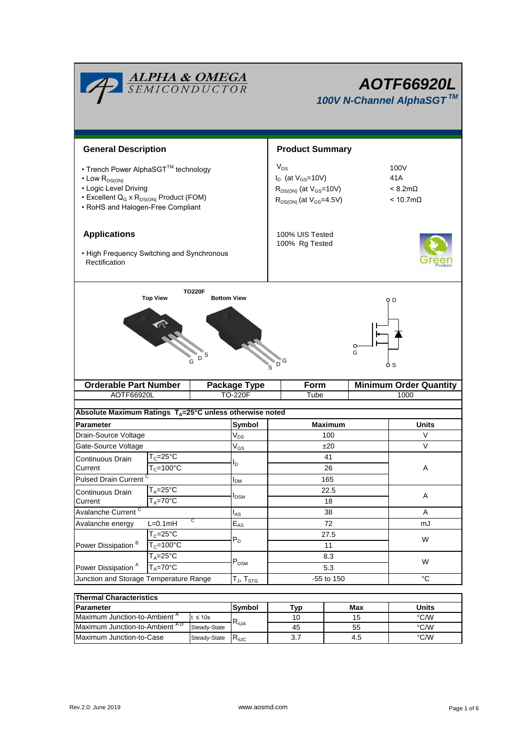| <b>ALPHA &amp; OMEGA</b><br>SEMICONDUCTOR                                                                                                                                                       |                                                                    |                           |                            | <b>AOTF66920L</b><br>100V N-Channel AlphaSGT™                                                               |   |                                                           |  |  |
|-------------------------------------------------------------------------------------------------------------------------------------------------------------------------------------------------|--------------------------------------------------------------------|---------------------------|----------------------------|-------------------------------------------------------------------------------------------------------------|---|-----------------------------------------------------------|--|--|
| <b>General Description</b>                                                                                                                                                                      |                                                                    |                           |                            | <b>Product Summary</b>                                                                                      |   |                                                           |  |  |
| • Trench Power AlphaSGT™ technology<br>$\cdot$ Low $R_{DS(ON)}$<br>• Logic Level Driving<br>• Excellent Q <sub>G</sub> x R <sub>DS(ON)</sub> Product (FOM)<br>• RoHS and Halogen-Free Compliant |                                                                    |                           |                            | $V_{DS}$<br>$I_D$ (at $V_{GS}$ =10V)<br>$R_{DS(ON)}$ (at $V_{GS}$ =10V)<br>$R_{DS(ON)}$ (at $V_{GS}$ =4.5V) |   | 100V<br>41A<br>$< 8.2 m\Omega$<br>$< 10.7 \text{m}\Omega$ |  |  |
| <b>Applications</b><br>• High Frequency Switching and Synchronous<br>Rectification                                                                                                              |                                                                    |                           |                            | 100% UIS Tested<br>100% Rg Tested                                                                           |   |                                                           |  |  |
| <b>TO220F</b><br><b>Top View</b><br><b>Bottom View</b><br>O D<br>O<br>G<br>S<br>D<br>G<br>o s                                                                                                   |                                                                    |                           |                            |                                                                                                             |   |                                                           |  |  |
|                                                                                                                                                                                                 | <b>Orderable Part Number</b>                                       |                           | <b>Package Type</b>        | Form                                                                                                        |   | <b>Minimum Order Quantity</b>                             |  |  |
| AOTF66920L                                                                                                                                                                                      |                                                                    |                           | <b>TO-220F</b>             | Tube                                                                                                        |   | 1000                                                      |  |  |
| Absolute Maximum Ratings $T_A = 25^\circ C$ unless otherwise noted                                                                                                                              |                                                                    |                           |                            |                                                                                                             |   |                                                           |  |  |
| <b>Parameter</b>                                                                                                                                                                                |                                                                    |                           | Symbol                     | <b>Maximum</b>                                                                                              |   | <b>Units</b>                                              |  |  |
| Drain-Source Voltage                                                                                                                                                                            |                                                                    |                           | $\mathsf{V}_{\mathsf{DS}}$ | 100                                                                                                         |   | V                                                         |  |  |
| Gate-Source Voltage                                                                                                                                                                             |                                                                    |                           | $V_{GS}$                   | ±20                                                                                                         |   | V                                                         |  |  |
| Continuous Drain                                                                                                                                                                                | $T_c = 25^{\circ}C$                                                |                           | I <sub>D</sub>             | 41                                                                                                          |   |                                                           |  |  |
| Current                                                                                                                                                                                         | $T_c = 100^{\circ}C$                                               |                           |                            | 26                                                                                                          |   | Α                                                         |  |  |
|                                                                                                                                                                                                 | <b>Pulsed Drain Current</b>                                        |                           | $I_{DM}$                   | 165                                                                                                         |   |                                                           |  |  |
| $T_A = 25$ °C<br>Continuous Drain                                                                                                                                                               |                                                                    | <b>I</b> <sub>DSM</sub>   | 22.5                       |                                                                                                             | Α |                                                           |  |  |
| $T_A = 70$ °C<br>Current<br>Avalanche Current <sup>C</sup>                                                                                                                                      |                                                                    |                           |                            | 18<br>38                                                                                                    |   | A                                                         |  |  |
| С<br>$L=0.1mH$<br>Avalanche energy                                                                                                                                                              |                                                                    |                           | $I_{AS}$<br>$E_{AS}$       | 72                                                                                                          |   | mJ                                                        |  |  |
|                                                                                                                                                                                                 | $T_c = 25^\circ C$<br>$T_c = 100^{\circ}$ C<br>$T_A = 25^{\circ}C$ |                           |                            | 27.5                                                                                                        |   |                                                           |  |  |
| Power Dissipation <sup>B</sup>                                                                                                                                                                  |                                                                    |                           | $P_D$                      | 11                                                                                                          |   | W                                                         |  |  |
|                                                                                                                                                                                                 |                                                                    |                           |                            | 8.3                                                                                                         |   | W                                                         |  |  |
| Power Dissipation <sup>A</sup><br>$T_A = 70$ °C                                                                                                                                                 |                                                                    | $\mathsf{P}_\mathsf{DSM}$ | 5.3                        |                                                                                                             |   |                                                           |  |  |
| Junction and Storage Temperature Range                                                                                                                                                          |                                                                    |                           | $T_J$ , $T_{STG}$          | -55 to 150                                                                                                  |   | $^{\circ}C$                                               |  |  |
| <b>Thermal Characteristics</b>                                                                                                                                                                  |                                                                    |                           |                            |                                                                                                             |   |                                                           |  |  |

| <b>Thermal Characteristics</b>            |              |                        |     |       |      |  |  |
|-------------------------------------------|--------------|------------------------|-----|-------|------|--|--|
| <b>Parameter</b>                          | Svmbol       | Tvp                    | Max | Units |      |  |  |
| Maximum Junction-to-Ambient <sup>"</sup>  | ≤ 10s        |                        | 10  | 15    | °C/W |  |  |
| Maximum Junction-to-Ambient <sup>AD</sup> | Steady-State | $\mathcal{A}_{\theta}$ | 45  | 55    | °C/W |  |  |
| Maximum Junction-to-Case<br>Steady-State  |              | ₹⊕JC                   | 3.7 | 4.5   | °C/W |  |  |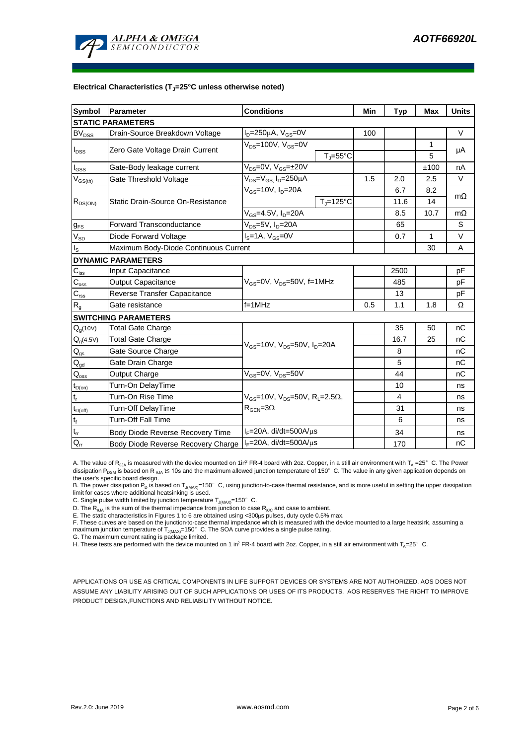

#### **Electrical Characteristics (TJ=25°C unless otherwise noted)**

| <b>Symbol</b>                           | <b>Parameter</b>                      | <b>Conditions</b>                                                                          | Min                 | Typ  | Max  | <b>Units</b> |           |  |  |
|-----------------------------------------|---------------------------------------|--------------------------------------------------------------------------------------------|---------------------|------|------|--------------|-----------|--|--|
| <b>STATIC PARAMETERS</b>                |                                       |                                                                                            |                     |      |      |              |           |  |  |
| BV <sub>DSS</sub>                       | Drain-Source Breakdown Voltage        | $I_D = 250 \mu A$ , $V_{GS} = 0V$                                                          |                     | 100  |      |              | $\vee$    |  |  |
| $I_{DSS}$                               |                                       | $V_{DS}$ =100V, $V_{GS}$ =0V                                                               |                     |      |      | 1            |           |  |  |
|                                         | Zero Gate Voltage Drain Current       |                                                                                            | $T_i = 55^{\circ}C$ |      |      | 5            | μA        |  |  |
| $\mathsf{I}_{\mathsf{GSS}}$             | Gate-Body leakage current             | $V_{DS} = 0V$ , $V_{GS} = \pm 20V$                                                         |                     |      |      | ±100         | nA        |  |  |
| $\mathsf{V}_{\mathsf{GS}(\mathsf{th})}$ | Gate Threshold Voltage                | $V_{DS} = V_{GS}$ , $I_D = 250 \mu A$                                                      |                     | 1.5  | 2.0  | 2.5          | $\vee$    |  |  |
| $R_{DS(ON)}$                            |                                       | $V_{GS}$ =10V, $I_D$ =20A                                                                  |                     |      | 6.7  | 8.2          | $m\Omega$ |  |  |
|                                         | Static Drain-Source On-Resistance     |                                                                                            | $T_J = 125$ °C      |      | 11.6 | 14           |           |  |  |
|                                         |                                       | $V_{GS}$ =4.5V, $I_D$ =20A                                                                 |                     |      | 8.5  | 10.7         | $m\Omega$ |  |  |
| $g_{FS}$                                | <b>Forward Transconductance</b>       | $V_{DS} = 5V$ , $I_D = 20A$                                                                |                     | 65   |      | S            |           |  |  |
| $V_{SD}$                                | Diode Forward Voltage                 | $IS=1A, VGS=0V$                                                                            |                     |      | 0.7  | 1            | $\vee$    |  |  |
| Is                                      | Maximum Body-Diode Continuous Current |                                                                                            |                     | 30   | A    |              |           |  |  |
|                                         | <b>DYNAMIC PARAMETERS</b>             |                                                                                            |                     |      |      |              |           |  |  |
| $C_{\text{iss}}$                        | Input Capacitance                     |                                                                                            |                     | 2500 |      | pF           |           |  |  |
| $C_{\rm oss}$                           | <b>Output Capacitance</b>             | V <sub>GS</sub> =0V, V <sub>DS</sub> =50V, f=1MHz                                          |                     |      | 485  |              | pF        |  |  |
| $C_{\rm rss}$                           | Reverse Transfer Capacitance          |                                                                                            |                     |      | 13   |              | рF        |  |  |
| $R_{q}$                                 | Gate resistance                       | $f = 1$ MHz                                                                                | 0.5                 | 1.1  | 1.8  | Ω            |           |  |  |
|                                         | <b>SWITCHING PARAMETERS</b>           |                                                                                            |                     |      |      |              |           |  |  |
| $Q_g(10V)$                              | Total Gate Charge                     | $V_{GS}$ =10V, $V_{DS}$ =50V, $I_{D}$ =20A                                                 |                     |      | 35   | 50           | nC        |  |  |
| $Q_g(4.5V)$                             | Total Gate Charge                     |                                                                                            |                     |      | 16.7 | 25           | nC        |  |  |
| $Q_{gs}$                                | Gate Source Charge                    |                                                                                            |                     |      | 8    |              | nC        |  |  |
| $Q_{gd}$                                | Gate Drain Charge                     |                                                                                            |                     |      | 5    |              | nC        |  |  |
| $\mathsf{Q}_\mathsf{oss}$               | Output Charge                         | $V_{GS}$ =0V, $V_{DS}$ =50V                                                                |                     |      | 44   |              | nC        |  |  |
| $t_{D(on)}$                             | Turn-On DelayTime                     |                                                                                            |                     |      | 10   |              | ns        |  |  |
| t,                                      | Turn-On Rise Time                     | $V_{GS}$ =10V, $V_{DS}$ =50V, R <sub>L</sub> =2.5 $\Omega$ ,<br>$R_{\text{GEN}} = 3\Omega$ |                     |      | 4    |              | ns        |  |  |
| $t_{D{\rm (off)}}$                      | Turn-Off DelayTime                    |                                                                                            |                     |      | 31   |              | ns        |  |  |
| t <sub>f</sub>                          | Turn-Off Fall Time                    |                                                                                            |                     |      | 6    |              | ns        |  |  |
| $\mathfrak{t}_{\text{rr}}$              | Body Diode Reverse Recovery Time      | $I_F = 20A$ , di/dt=500A/ $\mu$ s                                                          |                     |      | 34   |              | ns        |  |  |
| $Q_{rr}$                                | Body Diode Reverse Recovery Charge    | $I_F$ =20A, di/dt=500A/ $\mu$ s                                                            |                     |      | 170  |              | nC        |  |  |

A. The value of  $R_{0JA}$  is measured with the device mounted on 1in<sup>2</sup> FR-4 board with 2oz. Copper, in a still air environment with  $T_A = 25^\circ$  C. The Power dissipation P<sub>DSM</sub> is based on R  $_{0}$ A t≤ 10s and the maximum allowed junction temperature of 150°C. The value in any given application depends on the user's specific board design.

B. The power dissipation P<sub>D</sub> is based on T<sub>J(MAX)</sub>=150°C, using junction-to-case thermal resistance, and is more useful in setting the upper dissipation limit for cases where additional heatsinking is used.

C. Single pulse width limited by junction temperature  $T_{\text{J}(MAX)}$ =150°C.

D. The  $R_{0JA}$  is the sum of the thermal impedance from junction to case  $R_{0JC}$  and case to ambient.

E. The static characteristics in Figures 1 to 6 are obtained using <300us pulses, duty cycle 0.5% max.

F. These curves are based on the junction-to-case thermal impedance which is measured with the device mounted to a large heatsink, assuming a maximum junction temperature of  $T_{J(MAN)}=150^\circ$  C. The SOA curve provides a single pulse rating.

G. The maximum current rating is package limited.

H. These tests are performed with the device mounted on 1 in<sup>2</sup> FR-4 board with 2oz. Copper, in a still air environment with T<sub>A</sub>=25°C.

APPLICATIONS OR USE AS CRITICAL COMPONENTS IN LIFE SUPPORT DEVICES OR SYSTEMS ARE NOT AUTHORIZED. AOS DOES NOT ASSUME ANY LIABILITY ARISING OUT OF SUCH APPLICATIONS OR USES OF ITS PRODUCTS. AOS RESERVES THE RIGHT TO IMPROVE PRODUCT DESIGN,FUNCTIONS AND RELIABILITY WITHOUT NOTICE.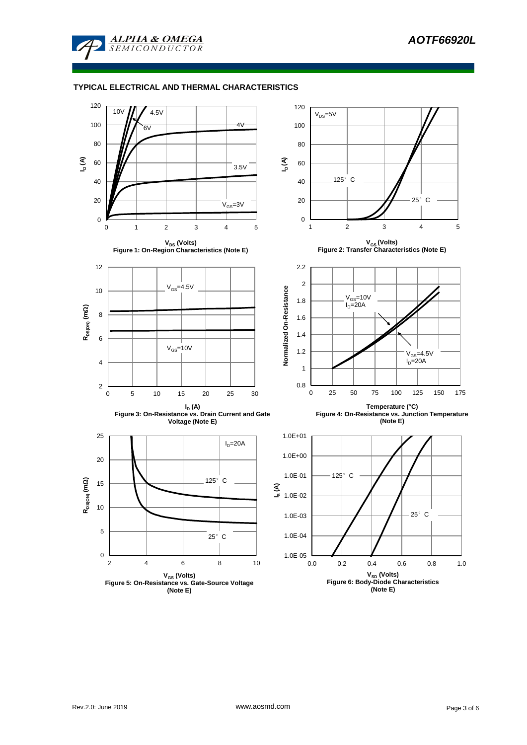

#### **TYPICAL ELECTRICAL AND THERMAL CHARACTERISTICS**

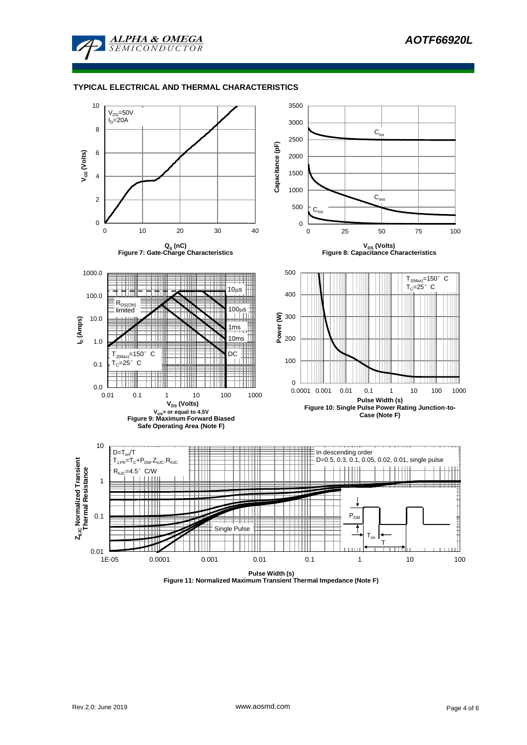

#### **TYPICAL ELECTRICAL AND THERMAL CHARACTERISTICS**



**Figure 11: Normalized Maximum Transient Thermal Impedance (Note F)**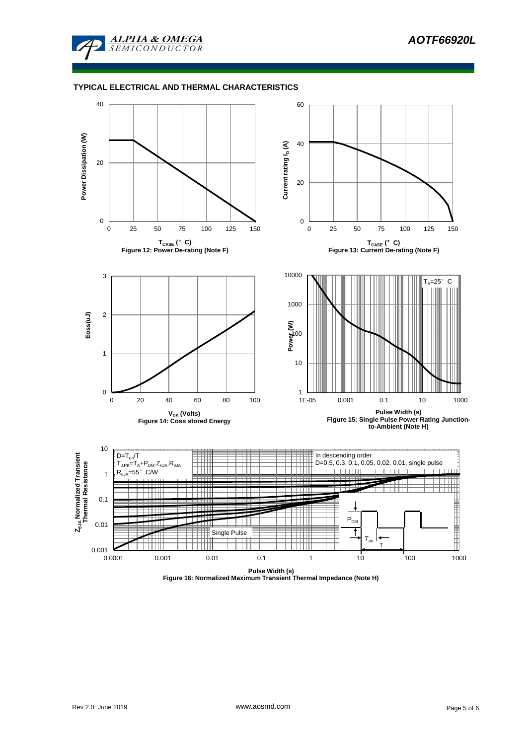

#### **TYPICAL ELECTRICAL AND THERMAL CHARACTERISTICS**



**Figure 16: Normalized Maximum Transient Thermal Impedance (Note H)**